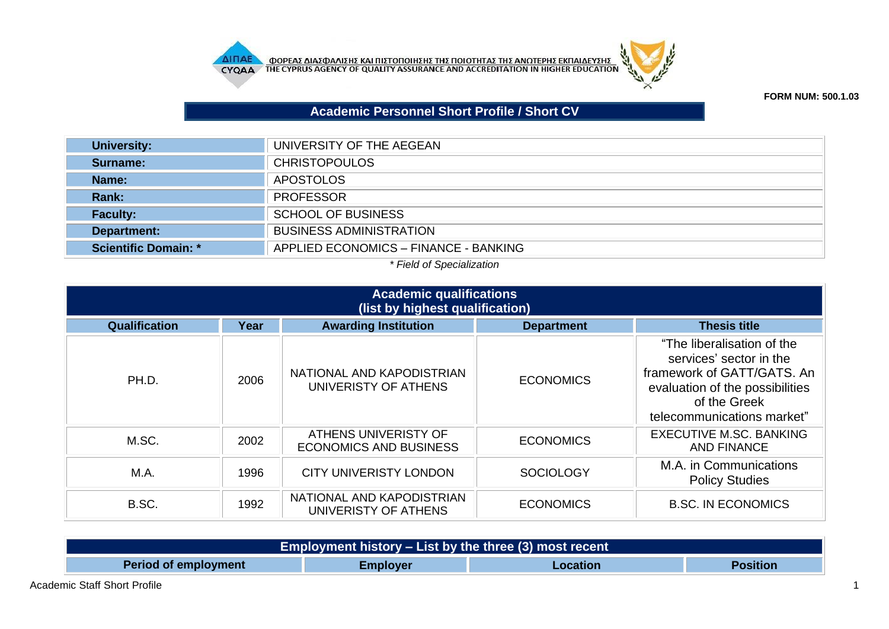



**FORM NUM: 500.1.03**

## **Academic Personnel Short Profile / Short CV**

| University:                 | UNIVERSITY OF THE AEGEAN              |
|-----------------------------|---------------------------------------|
| Surname:                    | <b>CHRISTOPOULOS</b>                  |
| Name:                       | <b>APOSTOLOS</b>                      |
| Rank:                       | <b>PROFESSOR</b>                      |
| <b>Faculty:</b>             | <b>SCHOOL OF BUSINESS</b>             |
| Department:                 | <b>BUSINESS ADMINISTRATION</b>        |
| <b>Scientific Domain: *</b> | APPLIED ECONOMICS - FINANCE - BANKING |

## *\* Field of Specialization*

| <b>Academic qualifications</b><br>(list by highest qualification) |      |                                                       |                   |                                                                                                                                                                      |
|-------------------------------------------------------------------|------|-------------------------------------------------------|-------------------|----------------------------------------------------------------------------------------------------------------------------------------------------------------------|
| Qualification                                                     | Year | <b>Awarding Institution</b>                           | <b>Department</b> | <b>Thesis title</b>                                                                                                                                                  |
| PH.D.                                                             | 2006 | NATIONAL AND KAPODISTRIAN<br>UNIVERISTY OF ATHENS     | <b>ECONOMICS</b>  | "The liberalisation of the<br>services' sector in the<br>framework of GATT/GATS, An<br>evaluation of the possibilities<br>of the Greek<br>telecommunications market" |
| M.SC.                                                             | 2002 | ATHENS UNIVERISTY OF<br><b>ECONOMICS AND BUSINESS</b> | <b>ECONOMICS</b>  | <b>EXECUTIVE M.SC. BANKING</b><br><b>AND FINANCE</b>                                                                                                                 |
| M.A.                                                              | 1996 | <b>CITY UNIVERISTY LONDON</b>                         | <b>SOCIOLOGY</b>  | M.A. in Communications<br><b>Policy Studies</b>                                                                                                                      |
| B.SC.                                                             | 1992 | NATIONAL AND KAPODISTRIAN<br>UNIVERISTY OF ATHENS     | <b>ECONOMICS</b>  | <b>B.SC. IN ECONOMICS</b>                                                                                                                                            |

| Employment history – List by the three (3) most recent |                 |          |                 |  |
|--------------------------------------------------------|-----------------|----------|-----------------|--|
| <b>Period of employment</b>                            | <b>Employer</b> | Location | <b>Position</b> |  |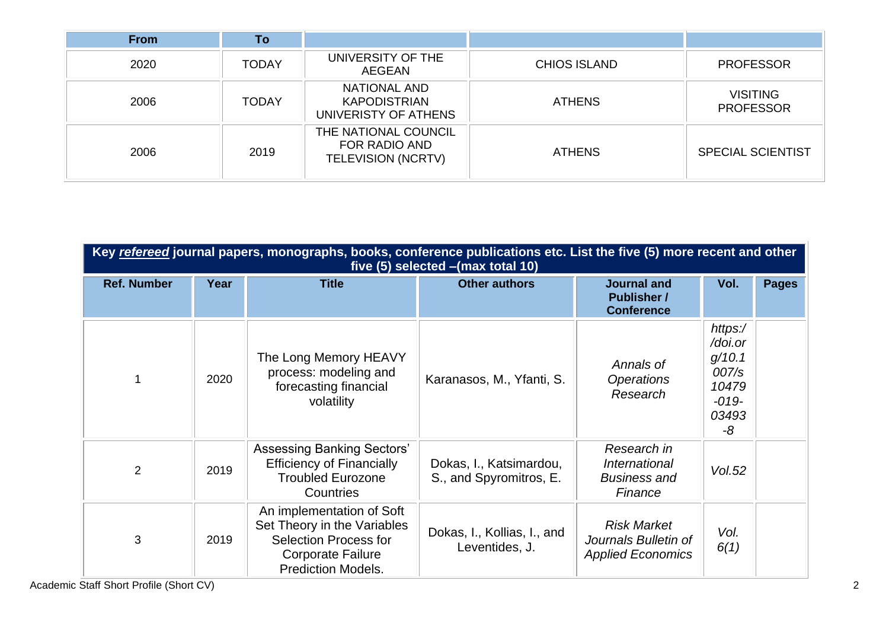| <b>From</b> | To           |                                                                    |                     |                                     |
|-------------|--------------|--------------------------------------------------------------------|---------------------|-------------------------------------|
| 2020        | <b>TODAY</b> | UNIVERSITY OF THE<br><b>AEGEAN</b>                                 | <b>CHIOS ISLAND</b> | <b>PROFESSOR</b>                    |
| 2006        | <b>TODAY</b> | NATIONAL AND<br><b>KAPODISTRIAN</b><br>UNIVERISTY OF ATHENS        | <b>ATHENS</b>       | <b>VISITING</b><br><b>PROFESSOR</b> |
| 2006        | 2019         | THE NATIONAL COUNCIL<br>FOR RADIO AND<br><b>TELEVISION (NCRTV)</b> | <b>ATHENS</b>       | <b>SPECIAL SCIENTIST</b>            |

| Key refereed journal papers, monographs, books, conference publications etc. List the five (5) more recent and other<br>five (5) selected - (max total 10) |      |                                                                                                                                                   |                                                    |                                                                        |                                                                          |              |
|------------------------------------------------------------------------------------------------------------------------------------------------------------|------|---------------------------------------------------------------------------------------------------------------------------------------------------|----------------------------------------------------|------------------------------------------------------------------------|--------------------------------------------------------------------------|--------------|
| <b>Ref. Number</b>                                                                                                                                         | Year | <b>Title</b>                                                                                                                                      | <b>Other authors</b>                               | <b>Journal and</b><br><b>Publisher /</b><br><b>Conference</b>          | Vol.                                                                     | <b>Pages</b> |
|                                                                                                                                                            | 2020 | The Long Memory HEAVY<br>process: modeling and<br>forecasting financial<br>volatility                                                             | Karanasos, M., Yfanti, S.                          | Annals of<br><b>Operations</b><br>Research                             | https:/<br>/doi.or<br>g/10.1<br>007/s<br>10479<br>$-019-$<br>03493<br>-8 |              |
| $\overline{2}$                                                                                                                                             | 2019 | <b>Assessing Banking Sectors'</b><br><b>Efficiency of Financially</b><br><b>Troubled Eurozone</b><br>Countries                                    | Dokas, I., Katsimardou,<br>S., and Spyromitros, E. | Research in<br>International<br><b>Business and</b><br>Finance         | Vol.52                                                                   |              |
| 3                                                                                                                                                          | 2019 | An implementation of Soft<br>Set Theory in the Variables<br><b>Selection Process for</b><br><b>Corporate Failure</b><br><b>Prediction Models.</b> | Dokas, I., Kollias, I., and<br>Leventides, J.      | <b>Risk Market</b><br>Journals Bulletin of<br><b>Applied Economics</b> | Vol.<br>6(1)                                                             |              |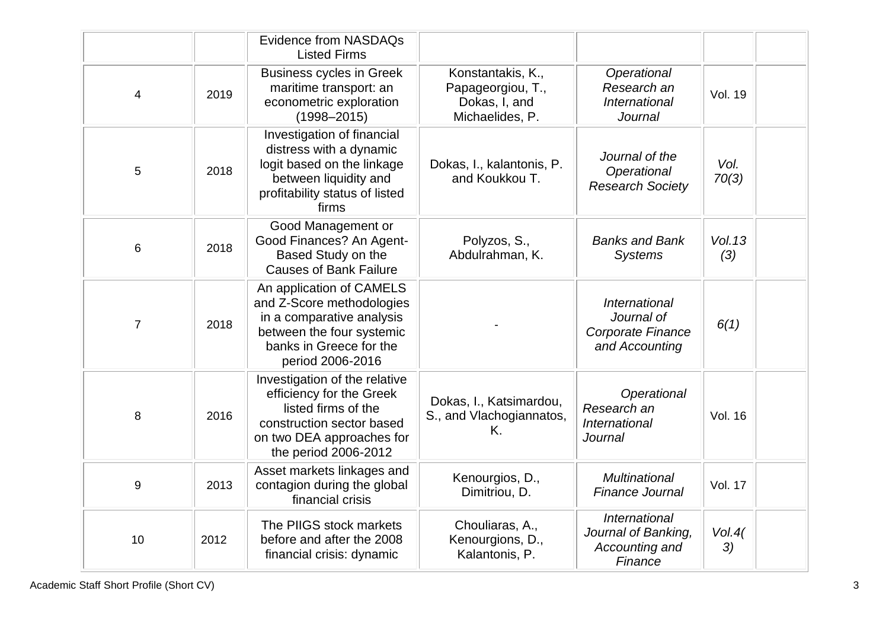|                |      | <b>Evidence from NASDAQs</b><br><b>Listed Firms</b>                                                                                                                |                                                                            |                                                                      |                |
|----------------|------|--------------------------------------------------------------------------------------------------------------------------------------------------------------------|----------------------------------------------------------------------------|----------------------------------------------------------------------|----------------|
| 4              | 2019 | <b>Business cycles in Greek</b><br>maritime transport: an<br>econometric exploration<br>$(1998 - 2015)$                                                            | Konstantakis, K.,<br>Papageorgiou, T.,<br>Dokas, I, and<br>Michaelides, P. | Operational<br>Research an<br><b>International</b><br><b>Journal</b> | <b>Vol. 19</b> |
| 5              | 2018 | Investigation of financial<br>distress with a dynamic<br>logit based on the linkage<br>between liquidity and<br>profitability status of listed<br>firms            | Dokas, I., kalantonis, P.<br>and Koukkou T.                                | Journal of the<br>Operational<br><b>Research Society</b>             | Vol.<br>70(3)  |
| 6              | 2018 | Good Management or<br>Good Finances? An Agent-<br>Based Study on the<br><b>Causes of Bank Failure</b>                                                              | Polyzos, S.,<br>Abdulrahman, K.                                            | <b>Banks and Bank</b><br><b>Systems</b>                              | Vol. 13<br>(3) |
| $\overline{7}$ | 2018 | An application of CAMELS<br>and Z-Score methodologies<br>in a comparative analysis<br>between the four systemic<br>banks in Greece for the<br>period 2006-2016     |                                                                            | International<br>Journal of<br>Corporate Finance<br>and Accounting   | 6(1)           |
| 8              | 2016 | Investigation of the relative<br>efficiency for the Greek<br>listed firms of the<br>construction sector based<br>on two DEA approaches for<br>the period 2006-2012 | Dokas, I., Katsimardou,<br>S., and Vlachogiannatos,<br>K.                  | Operational<br>Research an<br>International<br><b>Journal</b>        | <b>Vol. 16</b> |
| 9              | 2013 | Asset markets linkages and<br>contagion during the global<br>financial crisis                                                                                      | Kenourgios, D.,<br>Dimitriou, D.                                           | <b>Multinational</b><br><b>Finance Journal</b>                       | <b>Vol. 17</b> |
| 10             | 2012 | The PIIGS stock markets<br>before and after the 2008<br>financial crisis: dynamic                                                                                  | Chouliaras, A.,<br>Kenourgions, D.,<br>Kalantonis, P.                      | International<br>Journal of Banking,<br>Accounting and<br>Finance    | Vol.4(<br>3)   |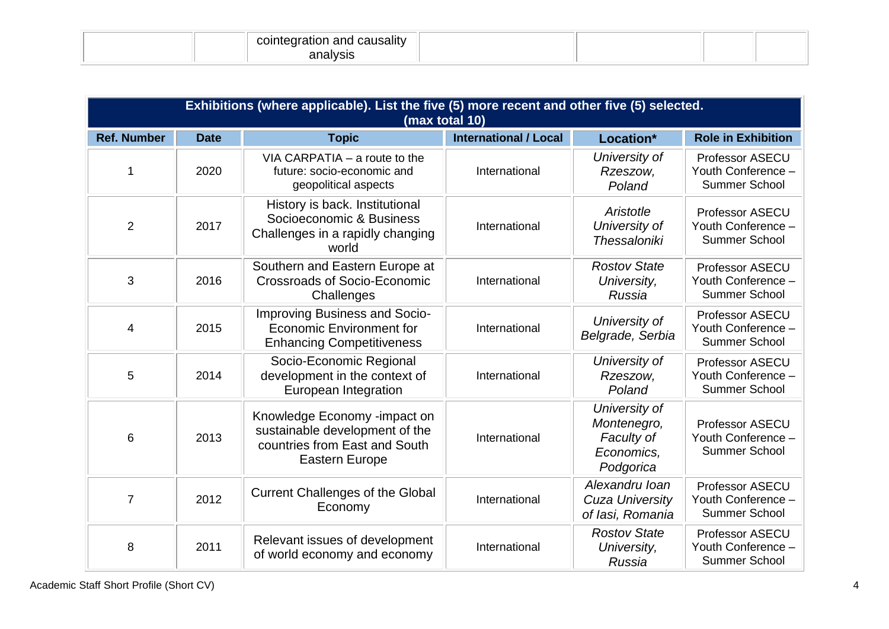| causality<br>-----<br>ano<br>. C 31 F<br>2000 N |  |  |
|-------------------------------------------------|--|--|
| $- \cdot \cdot -$                               |  |  |

|                    | Exhibitions (where applicable). List the five (5) more recent and other five (5) selected.<br>(max total 10) |                                                                                                                          |                              |                                                                       |                                                               |
|--------------------|--------------------------------------------------------------------------------------------------------------|--------------------------------------------------------------------------------------------------------------------------|------------------------------|-----------------------------------------------------------------------|---------------------------------------------------------------|
| <b>Ref. Number</b> | <b>Date</b>                                                                                                  | <b>Topic</b>                                                                                                             | <b>International / Local</b> | Location*                                                             | <b>Role in Exhibition</b>                                     |
|                    | 2020                                                                                                         | VIA CARPATIA $-$ a route to the<br>future: socio-economic and<br>geopolitical aspects                                    | International                | University of<br>Rzeszow,<br>Poland                                   | Professor ASECU<br>Youth Conference -<br>Summer School        |
| $\overline{2}$     | 2017                                                                                                         | History is back. Institutional<br>Socioeconomic & Business<br>Challenges in a rapidly changing<br>world                  | International                | Aristotle<br>University of<br><b>Thessaloniki</b>                     | <b>Professor ASECU</b><br>Youth Conference -<br>Summer School |
| 3                  | 2016                                                                                                         | Southern and Eastern Europe at<br><b>Crossroads of Socio-Economic</b><br>Challenges                                      | International                | <b>Rostov State</b><br>University,<br>Russia                          | Professor ASECU<br>Youth Conference -<br><b>Summer School</b> |
| $\overline{4}$     | 2015                                                                                                         | <b>Improving Business and Socio-</b><br><b>Economic Environment for</b><br><b>Enhancing Competitiveness</b>              | International                | University of<br>Belgrade, Serbia                                     | Professor ASECU<br>Youth Conference -<br><b>Summer School</b> |
| 5                  | 2014                                                                                                         | Socio-Economic Regional<br>development in the context of<br>European Integration                                         | International                | University of<br>Rzeszow,<br>Poland                                   | Professor ASECU<br>Youth Conference -<br><b>Summer School</b> |
| 6                  | 2013                                                                                                         | Knowledge Economy -impact on<br>sustainable development of the<br>countries from East and South<br><b>Eastern Europe</b> | International                | University of<br>Montenegro,<br>Faculty of<br>Economics,<br>Podgorica | Professor ASECU<br>Youth Conference -<br>Summer School        |
| $\overline{7}$     | 2012                                                                                                         | <b>Current Challenges of the Global</b><br>Economy                                                                       | International                | Alexandru Ioan<br><b>Cuza University</b><br>of lasi, Romania          | Professor ASECU<br>Youth Conference -<br><b>Summer School</b> |
| 8                  | 2011                                                                                                         | Relevant issues of development<br>of world economy and economy                                                           | International                | <b>Rostov State</b><br>University,<br>Russia                          | Professor ASECU<br>Youth Conference -<br><b>Summer School</b> |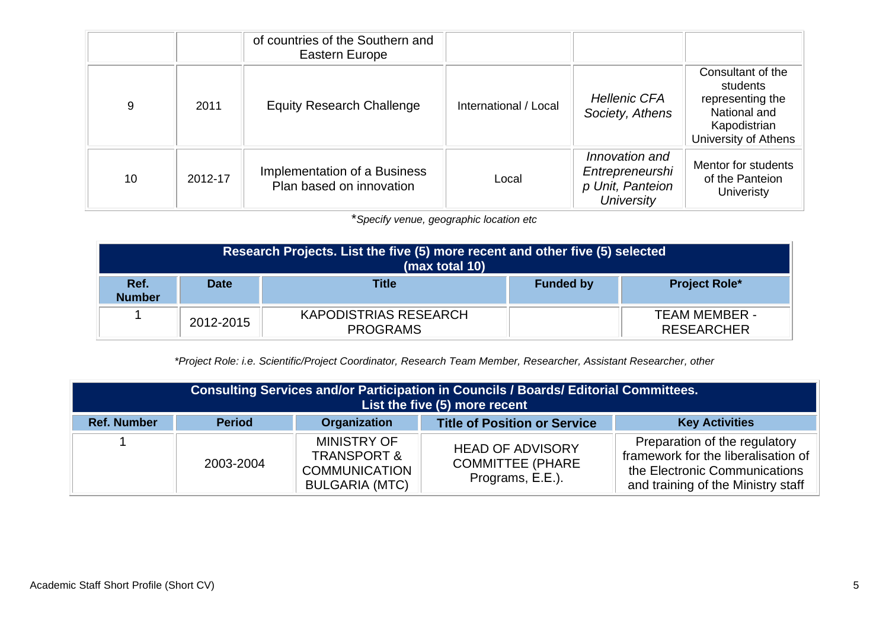|    |         | of countries of the Southern and<br>Eastern Europe       |                       |                                                                            |                                                                                                           |
|----|---------|----------------------------------------------------------|-----------------------|----------------------------------------------------------------------------|-----------------------------------------------------------------------------------------------------------|
| 9  | 2011    | <b>Equity Research Challenge</b>                         | International / Local | <b>Hellenic CFA</b><br>Society, Athens                                     | Consultant of the<br>students<br>representing the<br>National and<br>Kapodistrian<br>University of Athens |
| 10 | 2012-17 | Implementation of a Business<br>Plan based on innovation | Local                 | Innovation and<br>Entrepreneurshi<br>p Unit, Panteion<br><b>University</b> | Mentor for students<br>of the Panteion<br><b>Univeristy</b>                                               |

\**Specify venue, geographic location etc*

| Research Projects. List the five (5) more recent and other five (5) selected<br>(max total 10) |             |                                          |                  |                                           |
|------------------------------------------------------------------------------------------------|-------------|------------------------------------------|------------------|-------------------------------------------|
| Ref.<br><b>Number</b>                                                                          | <b>Date</b> | <b>Title</b>                             | <b>Funded by</b> | <b>Project Role*</b>                      |
|                                                                                                | 2012-2015   | KAPODISTRIAS RESEARCH<br><b>PROGRAMS</b> |                  | <b>TEAM MEMBER -</b><br><b>RESEARCHER</b> |

*\*Project Role: i.e. Scientific/Project Coordinator, Research Team Member, Researcher, Assistant Researcher, other*

| Consulting Services and/or Participation in Councils / Boards/ Editorial Committees.<br>List the five (5) more recent |               |                                                                                               |                                                                         |                                                                                                                                             |
|-----------------------------------------------------------------------------------------------------------------------|---------------|-----------------------------------------------------------------------------------------------|-------------------------------------------------------------------------|---------------------------------------------------------------------------------------------------------------------------------------------|
| <b>Ref. Number</b>                                                                                                    | <b>Period</b> | <b>Organization</b>                                                                           | <b>Title of Position or Service</b>                                     | <b>Key Activities</b>                                                                                                                       |
|                                                                                                                       | 2003-2004     | <b>MINISTRY OF</b><br><b>TRANSPORT &amp;</b><br><b>COMMUNICATION</b><br><b>BULGARIA (MTC)</b> | <b>HEAD OF ADVISORY</b><br><b>COMMITTEE (PHARE)</b><br>Programs, E.E.). | Preparation of the regulatory<br>framework for the liberalisation of<br>the Electronic Communications<br>and training of the Ministry staff |